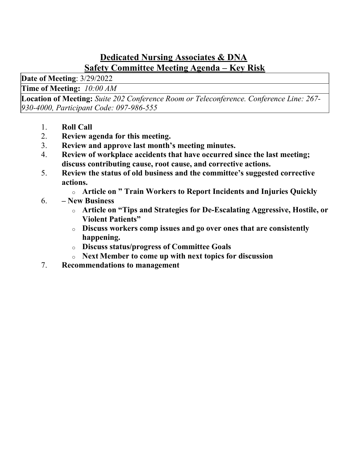## Dedicated Nursing Associates & DNA Safety Committee Meeting Agenda – Key Risk

Date of Meeting: 3/29/2022

Time of Meeting: 10:00 AM

Location of Meeting: Suite 202 Conference Room or Teleconference. Conference Line: 267- 930-4000, Participant Code: 097-986-555

- 1. Roll Call
- 2. Review agenda for this meeting.
- 3. Review and approve last month's meeting minutes.
- 4. Review of workplace accidents that have occurred since the last meeting; discuss contributing cause, root cause, and corrective actions.
- 5. Review the status of old business and the committee's suggested corrective actions.
	- o Article on " Train Workers to Report Incidents and Injuries Quickly
- 6. New Business
	- o Article on "Tips and Strategies for De-Escalating Aggressive, Hostile, or Violent Patients"
	- o Discuss workers comp issues and go over ones that are consistently happening.
	- o Discuss status/progress of Committee Goals
	- o Next Member to come up with next topics for discussion
- 7. Recommendations to management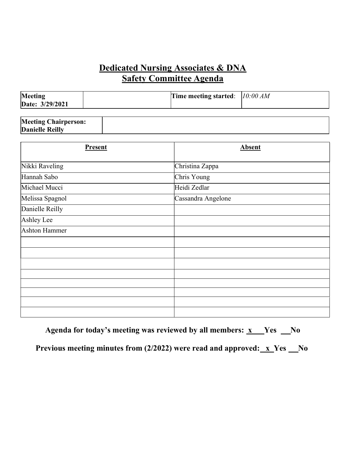#### Dedicated Nursing Associates & DNA  Safety Committee Agenda

| Meeting<br>Date: 3/29/2021 | Time meeting started: $10:00$ AM |  |
|----------------------------|----------------------------------|--|
|                            |                                  |  |

| <b>Meeting Chairperson:</b> |  |
|-----------------------------|--|
| <b>Danielle Reilly</b>      |  |

| <b>Present</b>  | <b>Absent</b>      |
|-----------------|--------------------|
| Nikki Raveling  | Christina Zappa    |
| Hannah Sabo     | Chris Young        |
| Michael Mucci   | Heidi Zedlar       |
| Melissa Spagnol | Cassandra Angelone |
| Danielle Reilly |                    |
| Ashley Lee      |                    |
| Ashton Hammer   |                    |
|                 |                    |
|                 |                    |
|                 |                    |
|                 |                    |
|                 |                    |
|                 |                    |
|                 |                    |
|                 |                    |

Agenda for today's meeting was reviewed by all members:  $x$  Yes  $N_0$ Previous meeting minutes from  $(2/2022)$  were read and approved:  $x$  Yes  $x_0$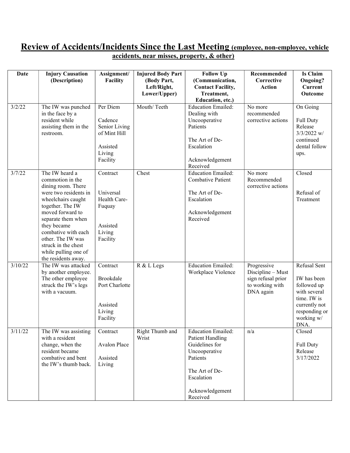#### Review of Accidents/Incidents Since the Last Meeting (employee, non-employee, vehicle accidents, near misses, property, & other)

| <b>Date</b> | <b>Injury Causation</b><br>(Description)                                                                                                                                                                                                                                                               | Assignment/<br>Facility                                                                | <b>Injured Body Part</b><br>(Body Part,<br>Left/Right,<br>Lower/Upper) | <b>Follow Up</b><br>(Communication,<br><b>Contact Facility,</b><br>Treatment,<br>Education, etc.)                                                                  | Recommended<br>Corrective<br><b>Action</b>                                             | <b>Is Claim</b><br>Ongoing?<br><b>Current</b><br>Outcome                                                                          |
|-------------|--------------------------------------------------------------------------------------------------------------------------------------------------------------------------------------------------------------------------------------------------------------------------------------------------------|----------------------------------------------------------------------------------------|------------------------------------------------------------------------|--------------------------------------------------------------------------------------------------------------------------------------------------------------------|----------------------------------------------------------------------------------------|-----------------------------------------------------------------------------------------------------------------------------------|
| 3/2/22      | The IW was punched<br>in the face by a<br>resident while<br>assisting them in the<br>restroom.                                                                                                                                                                                                         | Per Diem<br>Cadence<br>Senior Living<br>of Mint Hill<br>Assisted<br>Living<br>Facility | Mouth/Teeth                                                            | <b>Education Emailed:</b><br>Dealing with<br>Uncooperative<br>Patients<br>The Art of De-<br>Escalation<br>Acknowledgement<br>Received                              | No more<br>recommended<br>corrective actions                                           | On Going<br><b>Full Duty</b><br>Release<br>$3/3/2022$ w/<br>continued<br>dental follow<br>ups.                                    |
| 3/7/22      | The IW heard a<br>commotion in the<br>dining room. There<br>were two residents in<br>wheelchairs caught<br>together. The IW<br>moved forward to<br>separate them when<br>they became<br>combative with each<br>other. The IW was<br>struck in the chest<br>while pulling one of<br>the residents away. | Contract<br>Universal<br>Health Care-<br>Fuquay<br>Assisted<br>Living<br>Facility      | Chest                                                                  | <b>Education Emailed:</b><br><b>Combative Patient</b><br>The Art of De-<br>Escalation<br>Acknowledgement<br>Received                                               | No more<br>Recommended<br>corrective actions                                           | Closed<br>Refusal of<br>Treatment                                                                                                 |
| 3/10/22     | The IW was attacked<br>by another employee.<br>The other employee<br>struck the IW's legs<br>with a vacuum.                                                                                                                                                                                            | Contract<br>Brookdale<br>Port Charlotte<br>Assisted<br>Living<br>Facility              | R & L Legs                                                             | <b>Education Emailed:</b><br>Workplace Violence                                                                                                                    | Progressive<br>Discipline - Must<br>sign refusal prior<br>to working with<br>DNA again | Refusal Sent<br>IW has been<br>followed up<br>with several<br>time. IW is<br>currently not<br>responding or<br>working w/<br>DNA. |
| 3/11/22     | The IW was assisting<br>with a resident<br>change, when the<br>resident became<br>combative and bent<br>the IW's thumb back.                                                                                                                                                                           | Contract<br>Avalon Place<br>Assisted<br>Living                                         | Right Thumb and<br>Wrist                                               | <b>Education Emailed:</b><br><b>Patient Handling</b><br>Guidelines for<br>Uncooperative<br>Patients<br>The Art of De-<br>Escalation<br>Acknowledgement<br>Received | n/a                                                                                    | Closed<br><b>Full Duty</b><br>Release<br>3/17/2022                                                                                |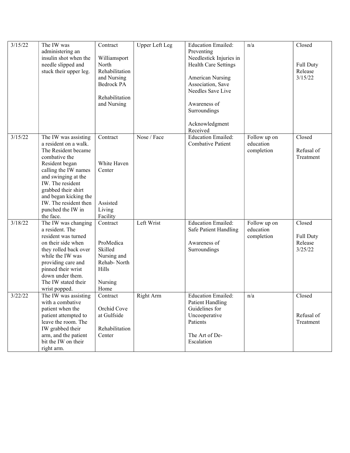| 3/15/22 | The IW was             | Contract       | Upper Left Leg | <b>Education Emailed:</b>   | n/a          | Closed           |
|---------|------------------------|----------------|----------------|-----------------------------|--------------|------------------|
|         | administering an       |                |                | Preventing                  |              |                  |
|         | insulin shot when the  | Williamsport   |                | Needlestick Injuries in     |              |                  |
|         | needle slipped and     | North          |                | <b>Health Care Settings</b> |              | <b>Full Duty</b> |
|         | stuck their upper leg. | Rehabilitation |                |                             |              | Release          |
|         |                        | and Nursing    |                | <b>American Nursing</b>     |              | 3/15/22          |
|         |                        | Bedrock PA     |                | Association, Save           |              |                  |
|         |                        |                |                | Needles Save Live           |              |                  |
|         |                        | Rehabilitation |                |                             |              |                  |
|         |                        | and Nursing    |                | Awareness of                |              |                  |
|         |                        |                |                | Surroundings                |              |                  |
|         |                        |                |                | Acknowledgment              |              |                  |
|         |                        |                |                | Received                    |              |                  |
| 3/15/22 | The IW was assisting   | Contract       | Nose / Face    | <b>Education Emailed:</b>   | Follow up on | Closed           |
|         | a resident on a walk.  |                |                | <b>Combative Patient</b>    | education    |                  |
|         | The Resident became    |                |                |                             | completion   | Refusal of       |
|         | combative the          |                |                |                             |              | Treatment        |
|         | Resident began         | White Haven    |                |                             |              |                  |
|         | calling the IW names   | Center         |                |                             |              |                  |
|         | and swinging at the    |                |                |                             |              |                  |
|         | IW. The resident       |                |                |                             |              |                  |
|         | grabbed their shirt    |                |                |                             |              |                  |
|         | and began kicking the  |                |                |                             |              |                  |
|         | IW. The resident then  | Assisted       |                |                             |              |                  |
|         | punched the IW in      | Living         |                |                             |              |                  |
|         | the face.              | Facility       |                |                             |              |                  |
| 3/18/22 | The IW was changing    | Contract       | Left Wrist     | <b>Education Emailed:</b>   | Follow up on | Closed           |
|         | a resident. The        |                |                | Safe Patient Handling       | education    |                  |
|         | resident was turned    |                |                |                             | completion   | <b>Full Duty</b> |
|         | on their side when     | ProMedica      |                | Awareness of                |              | Release          |
|         | they rolled back over  | Skilled        |                | Surroundings                |              | 3/25/22          |
|         | while the IW was       | Nursing and    |                |                             |              |                  |
|         | providing care and     | Rehab-North    |                |                             |              |                  |
|         | pinned their wrist     | Hills          |                |                             |              |                  |
|         | down under them.       |                |                |                             |              |                  |
|         | The IW stated their    | Nursing        |                |                             |              |                  |
|         | wrist popped.          | Home           |                |                             |              |                  |
| 3/22/22 | The IW was assisting   | Contract       | Right Arm      | <b>Education Emailed:</b>   | n/a          | Closed           |
|         | with a combative       |                |                | <b>Patient Handling</b>     |              |                  |
|         | patient when the       | Orchid Cove    |                | Guidelines for              |              |                  |
|         | patient attempted to   | at Gulfside    |                | Uncooperative               |              | Refusal of       |
|         | leave the room. The    |                |                | Patients                    |              | Treatment        |
|         | IW grabbed their       | Rehabilitation |                |                             |              |                  |
|         | arm, and the patient   | Center         |                | The Art of De-              |              |                  |
|         | bit the IW on their    |                |                | Escalation                  |              |                  |
|         | right arm.             |                |                |                             |              |                  |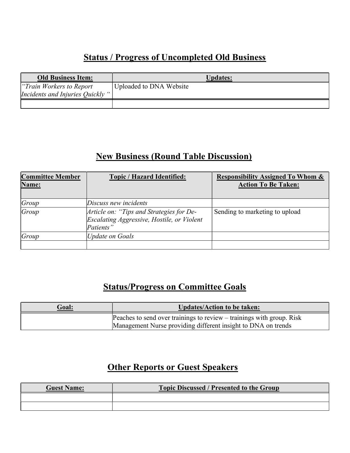### Status / Progress of Uncompleted Old Business

| <b>Old Business Item:</b>                                     | <b>Updates:</b>         |
|---------------------------------------------------------------|-------------------------|
| "Train Workers to Report"<br>Incidents and Injuries Quickly " | Uploaded to DNA Website |
|                                                               |                         |

## New Business (Round Table Discussion)

| <b>Committee Member</b><br>Name: | <b>Topic / Hazard Identified:</b>                                                                   | <b>Responsibility Assigned To Whom &amp;</b><br><b>Action To Be Taken:</b> |
|----------------------------------|-----------------------------------------------------------------------------------------------------|----------------------------------------------------------------------------|
| Group                            | Discuss new incidents                                                                               |                                                                            |
| Group                            | Article on: "Tips and Strategies for De-<br>Escalating Aggressive, Hostile, or Violent<br>Patients" | Sending to marketing to upload                                             |
| Group                            | Update on Goals                                                                                     |                                                                            |
|                                  |                                                                                                     |                                                                            |

## Status/Progress on Committee Goals

| Goal: | Updates/Action to be taken:                                                                                                            |
|-------|----------------------------------------------------------------------------------------------------------------------------------------|
|       | Peaches to send over trainings to review – trainings with group. Risk<br>Management Nurse providing different insight to DNA on trends |

# **Other Reports or Guest Speakers**

| <b>Guest Name:</b> | <b>Topic Discussed / Presented to the Group</b> |
|--------------------|-------------------------------------------------|
|                    |                                                 |
|                    |                                                 |